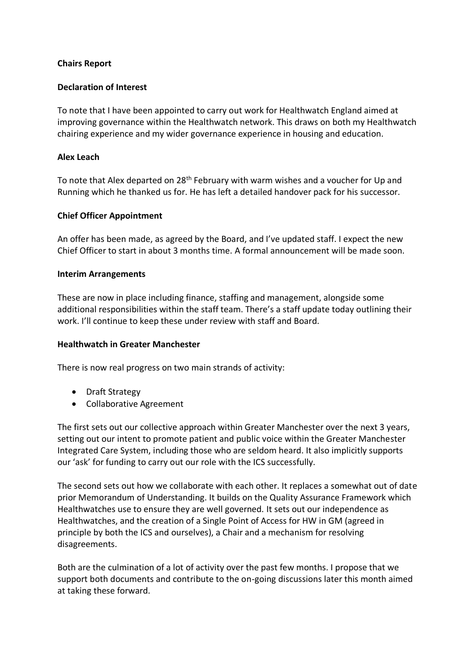# **Chairs Report**

## **Declaration of Interest**

To note that I have been appointed to carry out work for Healthwatch England aimed at improving governance within the Healthwatch network. This draws on both my Healthwatch chairing experience and my wider governance experience in housing and education.

## **Alex Leach**

To note that Alex departed on 28<sup>th</sup> February with warm wishes and a voucher for Up and Running which he thanked us for. He has left a detailed handover pack for his successor.

# **Chief Officer Appointment**

An offer has been made, as agreed by the Board, and I've updated staff. I expect the new Chief Officer to start in about 3 months time. A formal announcement will be made soon.

### **Interim Arrangements**

These are now in place including finance, staffing and management, alongside some additional responsibilities within the staff team. There's a staff update today outlining their work. I'll continue to keep these under review with staff and Board.

### **Healthwatch in Greater Manchester**

There is now real progress on two main strands of activity:

- Draft Strategy
- Collaborative Agreement

The first sets out our collective approach within Greater Manchester over the next 3 years, setting out our intent to promote patient and public voice within the Greater Manchester Integrated Care System, including those who are seldom heard. It also implicitly supports our 'ask' for funding to carry out our role with the ICS successfully.

The second sets out how we collaborate with each other. It replaces a somewhat out of date prior Memorandum of Understanding. It builds on the Quality Assurance Framework which Healthwatches use to ensure they are well governed. It sets out our independence as Healthwatches, and the creation of a Single Point of Access for HW in GM (agreed in principle by both the ICS and ourselves), a Chair and a mechanism for resolving disagreements.

Both are the culmination of a lot of activity over the past few months. I propose that we support both documents and contribute to the on-going discussions later this month aimed at taking these forward.